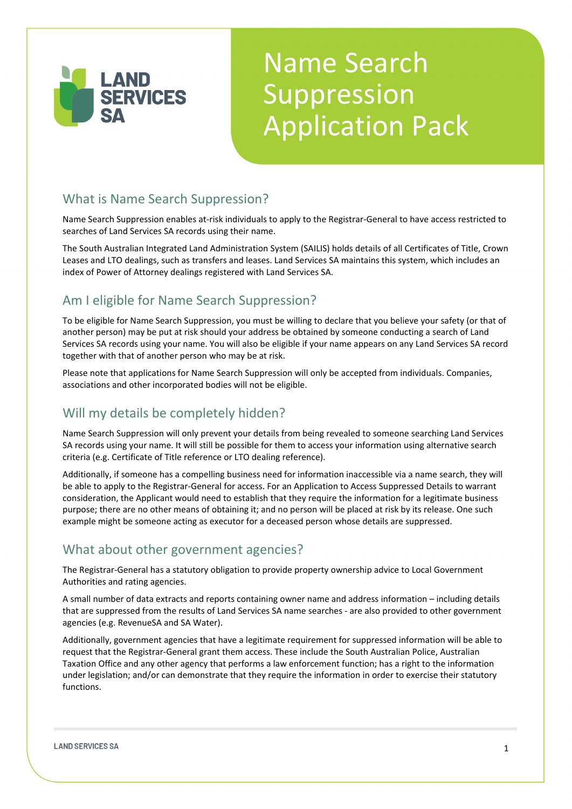

# Name Search Suppression Application Pack

#### What is Name Search Suppression?

Name Search Suppression enables at-risk individuals to apply to the Registrar-General to have access restricted to searches of Land Services SA records using their name.

The South Australian Integrated Land Administration System (SAILIS) holds details of all Certificates of Title, Crown Leases and LTO dealings, such as transfers and leases. Land Services SA maintains this system, which includes an index of Power of Attorney dealings registered with Land Services SA.

# Am I eligible for Name Search Suppression?

To be eligible for Name Search Suppression, you must be willing to declare that you believe your safety (or that of another person) may be put at risk should your address be obtained by someone conducting a search of Land Services SA records using your name. You will also be eligible if your name appears on any Land Services SA record together with that of another person who may be at risk.

Please note that applications for Name Search Suppression will only be accepted from individuals. Companies, associations and other incorporated bodies will not be eligible.

# Will my details be completely hidden?

Name Search Suppression will only prevent your details from being revealed to someone searching Land Services SA records using your name. It will still be possible for them to access your information using alternative search criteria (e.g. Certificate of Title reference or LTO dealing reference).

Additionally, if someone has a compelling business need for information inaccessible via a name search, they will be able to apply to the Registrar-General for access. For an Application to Access Suppressed Details to warrant consideration, the Applicant would need to establish that they require the information for a legitimate business purpose; there are no other means of obtaining it; and no person will be placed at risk by its release. One such example might be someone acting as executor for a deceased person whose details are suppressed.

# What about other government agencies?

The Registrar-General has a statutory obligation to provide property ownership advice to Local Government Authorities and rating agencies.

A small number of data extracts and reports containing owner name and address information – including details that are suppressed from the results of Land Services SA name searches - are also provided to other government agencies (e.g. RevenueSA and SA Water).

Additionally, government agencies that have a legitimate requirement for suppressed information will be able to request that the Registrar-General grant them access. These include the South Australian Police, Australian Taxation Office and any other agency that performs a law enforcement function; has a right to the information under legislation; and/or can demonstrate that they require the information in order to exercise their statutory functions.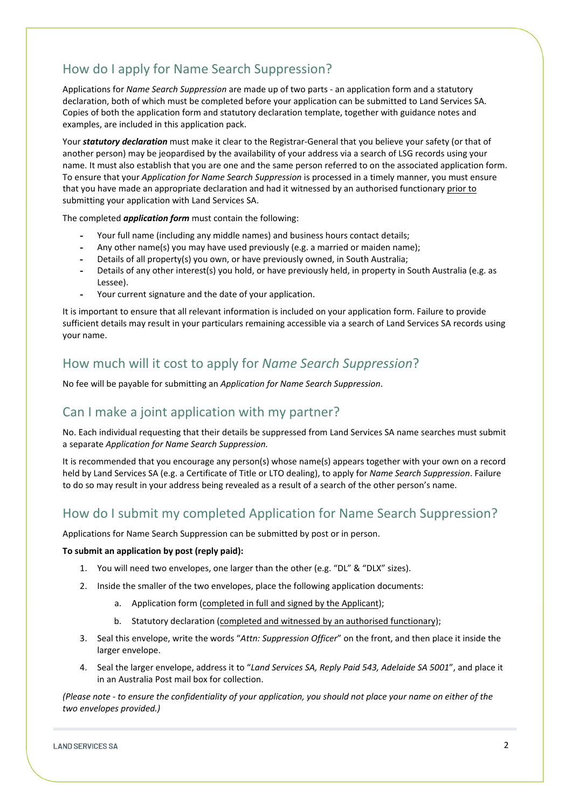# How do I apply for Name Search Suppression?

Applications for *Name Search Suppression* are made up of two parts - an application form and a statutory declaration, both of which must be completed before your application can be submitted to Land Services SA. Copies of both the application form and statutory declaration template, together with guidance notes and examples, are included in this application pack.

Your *statutory declaration* must make it clear to the Registrar-General that you believe your safety (or that of another person) may be jeopardised by the availability of your address via a search of LSG records using your name. It must also establish that you are one and the same person referred to on the associated application form. To ensure that your *Application for Name Search Suppression* is processed in a timely manner, you must ensure that you have made an appropriate declaration and had it witnessed by an authorised functionary prior to submitting your application with Land Services SA.

The completed *application form* must contain the following:

- **-** Your full name (including any middle names) and business hours contact details;
- **-** Any other name(s) you may have used previously (e.g. a married or maiden name);
- **-** Details of all property(s) you own, or have previously owned, in South Australia;
- **-** Details of any other interest(s) you hold, or have previously held, in property in South Australia (e.g. as Lessee).
- **-** Your current signature and the date of your application.

It is important to ensure that all relevant information is included on your application form. Failure to provide sufficient details may result in your particulars remaining accessible via a search of Land Services SA records using your name.

#### How much will it cost to apply for *Name Search Suppression*?

No fee will be payable for submitting an *Application for Name Search Suppression*.

#### Can I make a joint application with my partner?

No. Each individual requesting that their details be suppressed from Land Services SA name searches must submit a separate *Application for Name Search Suppression.*

It is recommended that you encourage any person(s) whose name(s) appears together with your own on a record held by Land Services SA (e.g. a Certificate of Title or LTO dealing), to apply for *Name Search Suppression*. Failure to do so may result in your address being revealed as a result of a search of the other person's name.

# How do I submit my completed Application for Name Search Suppression?

Applications for Name Search Suppression can be submitted by post or in person.

#### **To submit an application by post (reply paid):**

- 1. You will need two envelopes, one larger than the other (e.g. "DL" & "DLX" sizes).
- 2. Inside the smaller of the two envelopes, place the following application documents:
	- a. Application form (completed in full and signed by the Applicant);
	- b. Statutory declaration (completed and witnessed by an authorised functionary);
- 3. Seal this envelope, write the words "*Attn: Suppression Officer*" on the front, and then place it inside the larger envelope.
- 4. Seal the larger envelope, address it to "*Land Services SA, Reply Paid 543, Adelaide SA 5001*", and place it in an Australia Post mail box for collection.

(Please note - to ensure the confidentiality of your application, you should not place your name on either of the *two envelopes provided.)*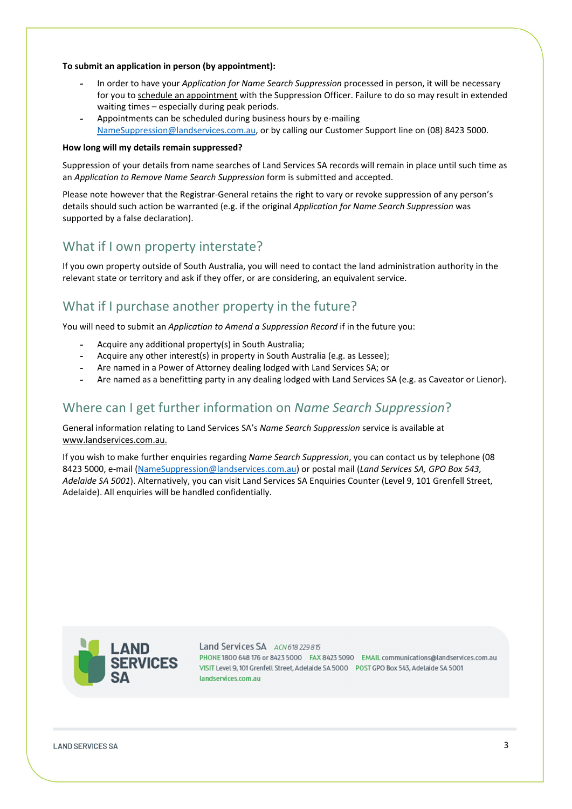#### **To submit an application in person (by appointment):**

- **-** In order to have your *Application for Name Search Suppression* processed in person, it will be necessary for you to schedule an appointment with the Suppression Officer. Failure to do so may result in extended waiting times – especially during peak periods.
- **-** Appointments can be scheduled during business hours by e-mailing NameSuppression@landservices.com.au, or by calling our Customer Support line on (08) 8423 5000.

#### **How long will my details remain suppressed?**

Suppression of your details from name searches of Land Services SA records will remain in place until such time as an *Application to Remove Name Search Suppression* form is submitted and accepted.

Please note however that the Registrar-General retains the right to vary or revoke suppression of any person's details should such action be warranted (e.g. if the original *Application for Name Search Suppression* was supported by a false declaration).

#### What if I own property interstate?

If you own property outside of South Australia, you will need to contact the land administration authority in the relevant state or territory and ask if they offer, or are considering, an equivalent service.

#### What if I purchase another property in the future?

You will need to submit an *Application to Amend a Suppression Record* if in the future you:

- **-** Acquire any additional property(s) in South Australia;
- **-** Acquire any other interest(s) in property in South Australia (e.g. as Lessee);
- **-** Are named in a Power of Attorney dealing lodged with Land Services SA; or
- **-** Are named as a benefitting party in any dealing lodged with Land Services SA (e.g. as Caveator or Lienor).

#### Where can I get further information on *Name Search Suppression*?

General information relating to Land Services SA's *Name Search Suppression* service is available at www.landservices.com.au.

If you wish to make further enquiries regarding *Name Search Suppression*, you can contact us by telephone (08 8423 5000, e-mail (NameSuppression@landservices.com.au) or postal mail (*Land Services SA, GPO Box 543, Adelaide SA 5001*). Alternatively, you can visit Land Services SA Enquiries Counter (Level 9, 101 Grenfell Street, Adelaide). All enquiries will be handled confidentially.



Land Services SA ACN618 229815 PHONE 1800 648 176 or 8423 5000 FAX 8423 5090 EMAIL communications@landservices.com.au VISIT Level 9, 101 Grenfell Street, Adelaide SA 5000 POST GPO Box 543, Adelaide SA 5001 landservices.com.au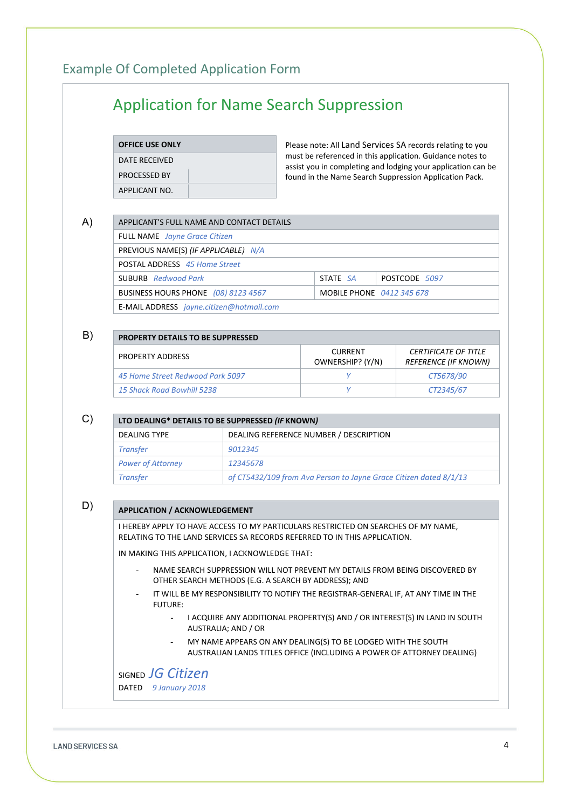### Example Of Completed Application Form

# Application for Name Search Suppression

| <b>OFFICE USE ONLY</b> |  |
|------------------------|--|
| DATE RECEIVED          |  |
| <b>PROCESSED BY</b>    |  |
| APPLICANT NO.          |  |

Please note: All Land Services SA records relating to you must be referenced in this application. Guidance notes to assist you in completing and lodging your application can be found in the Name Search Suppression Application Pack.

| APPLICANT'S FULL NAME AND CONTACT DETAILS  |                           |               |
|--------------------------------------------|---------------------------|---------------|
| <b>FULL NAME</b> Jayne Grace Citizen       |                           |               |
| PREVIOUS NAME(S) (IF APPLICABLE) N/A       |                           |               |
| <b>POSTAL ADDRESS</b> 45 Home Street       |                           |               |
| <b>SUBURB</b> Redwood Park                 | STATE SA                  | POSTCODE 5097 |
| <b>BUSINESS HOURS PHONE</b> (08) 8123 4567 | MOBILE PHONE 0412 345 678 |               |
| E-MAIL ADDRESS jayne.citizen@hotmail.com   |                           |               |

#### **PROPERTY DETAILS TO BE SUPPRESSED** B)

| PROPERTY ADDRESS                 | <b>CURRENT</b><br>OWNERSHIP? (Y/N) | <b>CERTIFICATE OF TITLE</b><br><b>REFERENCE (IF KNOWN)</b> |
|----------------------------------|------------------------------------|------------------------------------------------------------|
| 45 Home Street Redwood Park 5097 |                                    | CT5678/90                                                  |
| 15 Shack Road Bowhill 5238       |                                    | CT2345/67                                                  |

#### **LTO DEALING\* DETAILS TO BE SUPPRESSED** *(IF* **KNOWN***)*  C)

| DEALING TYPE             | DEALING REFERENCE NUMBER / DESCRIPTION                            |  |
|--------------------------|-------------------------------------------------------------------|--|
| <b>Transfer</b>          | 9012345                                                           |  |
| <b>Power of Attorney</b> | 12345678                                                          |  |
| <b>Transfer</b>          | of CT5432/109 from Ava Person to Jayne Grace Citizen dated 8/1/13 |  |

#### **APPLICATION / ACKNOWLEDGEMENT** D)

I HEREBY APPLY TO HAVE ACCESS TO MY PARTICULARS RESTRICTED ON SEARCHES OF MY NAME, RELATING TO THE LAND SERVICES SA RECORDS REFERRED TO IN THIS APPLICATION.

IN MAKING THIS APPLICATION, I ACKNOWLEDGE THAT:

- NAME SEARCH SUPPRESSION WILL NOT PREVENT MY DETAILS FROM BEING DISCOVERED BY OTHER SEARCH METHODS (E.G. A SEARCH BY ADDRESS); AND
- IT WILL BE MY RESPONSIBILITY TO NOTIFY THE REGISTRAR-GENERAL IF, AT ANY TIME IN THE FUTURE:
	- I ACQUIRE ANY ADDITIONAL PROPERTY(S) AND / OR INTEREST(S) IN LAND IN SOUTH AUSTRALIA; AND / OR
	- MY NAME APPEARS ON ANY DEALING(S) TO BE LODGED WITH THE SOUTH AUSTRALIAN LANDS TITLES OFFICE (INCLUDING A POWER OF ATTORNEY DEALING)

SIGNED *JG Citizen* DATED *9 January 2018*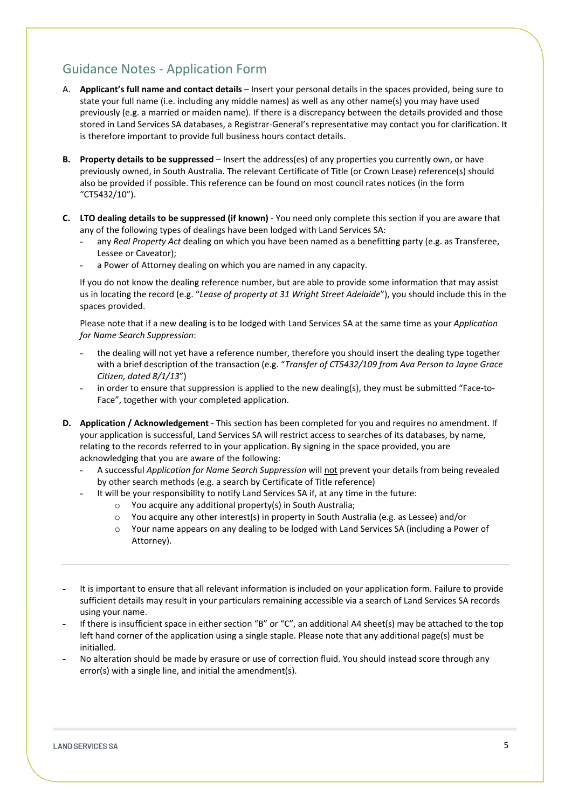### Guidance Notes - Application Form

- A. **Applicant's full name and contact details** Insert your personal details in the spaces provided, being sure to state your full name (i.e. including any middle names) as well as any other name(s) you may have used previously (e.g. a married or maiden name). If there is a discrepancy between the details provided and those stored in Land Services SA databases, a Registrar-General's representative may contact you for clarification. It is therefore important to provide full business hours contact details.
- **B. Property details to be suppressed** Insert the address(es) of any properties you currently own, or have previously owned, in South Australia. The relevant Certificate of Title (or Crown Lease) reference(s) should also be provided if possible. This reference can be found on most council rates notices (in the form "CT5432/10").
- **C. LTO dealing details to be suppressed (if known)** You need only complete this section if you are aware that any of the following types of dealings have been lodged with Land Services SA:
	- any *Real Property Act* dealing on which you have been named as a benefitting party (e.g. as Transferee, Lessee or Caveator);
	- a Power of Attorney dealing on which you are named in any capacity.

If you do not know the dealing reference number, but are able to provide some information that may assist us in locating the record (e.g. "*Lease of property at 31 Wright Street Adelaide*"), you should include this in the spaces provided.

Please note that if a new dealing is to be lodged with Land Services SA at the same time as your *Application for Name Search Suppression*:

- the dealing will not yet have a reference number, therefore you should insert the dealing type together with a brief description of the transaction (e.g. "*Transfer of CT5432/109 from Ava Person to Jayne Grace Citizen, dated 8/1/13*")
- in order to ensure that suppression is applied to the new dealing(s), they must be submitted "Face-to-Face", together with your completed application.
- **D. Application / Acknowledgement** This section has been completed for you and requires no amendment. If your application is successful, Land Services SA will restrict access to searches of its databases, by name, relating to the records referred to in your application. By signing in the space provided, you are acknowledging that you are aware of the following:
	- A successful *Application for Name Search Suppression* will not prevent your details from being revealed by other search methods (e.g. a search by Certificate of Title reference)
	- It will be your responsibility to notify Land Services SA if, at any time in the future:
		- o You acquire any additional property(s) in South Australia;
		- $\circ$  You acquire any other interest(s) in property in South Australia (e.g. as Lessee) and/or
		- o Your name appears on any dealing to be lodged with Land Services SA (including a Power of Attorney).
- **-** It is important to ensure that all relevant information is included on your application form. Failure to provide sufficient details may result in your particulars remaining accessible via a search of Land Services SA records using your name.
- **-** If there is insufficient space in either section "B" or "C", an additional A4 sheet(s) may be attached to the top left hand corner of the application using a single staple. Please note that any additional page(s) must be initialled.
- **-** No alteration should be made by erasure or use of correction fluid. You should instead score through any error(s) with a single line, and initial the amendment(s).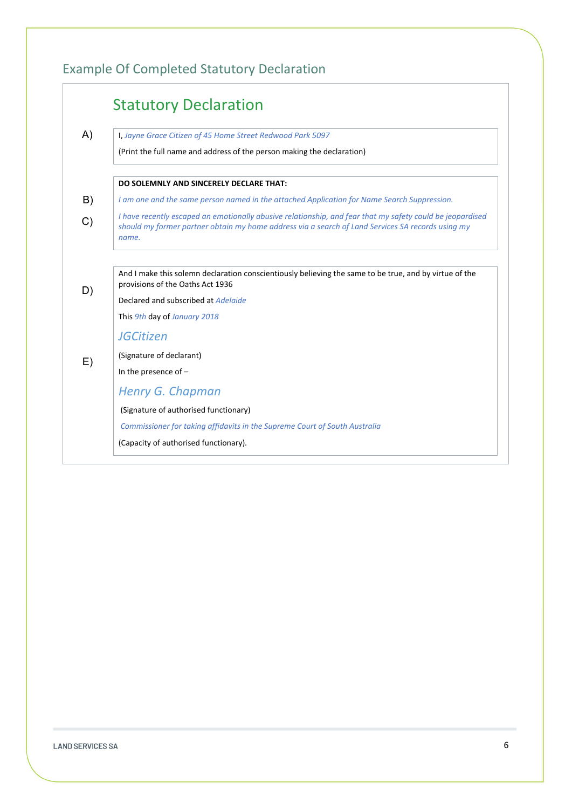# Example Of Completed Statutory Declaration

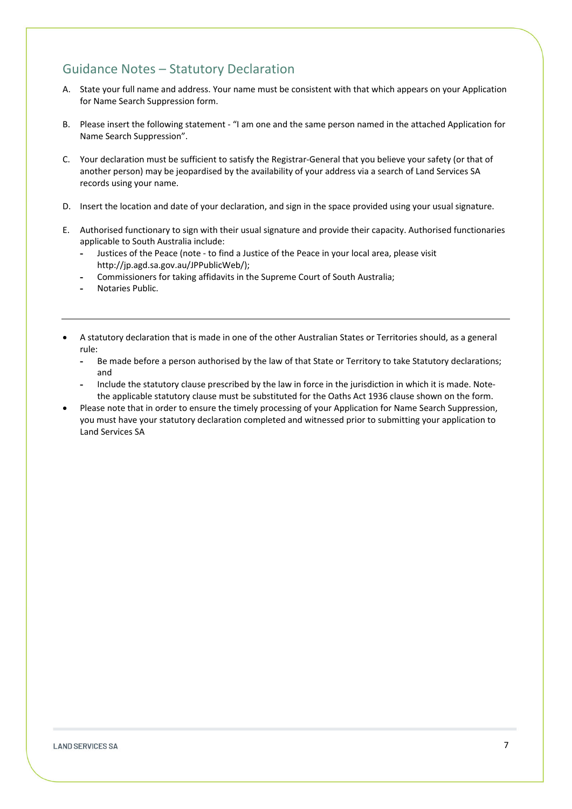### Guidance Notes – Statutory Declaration

- A. State your full name and address. Your name must be consistent with that which appears on your Application for Name Search Suppression form.
- B. Please insert the following statement "I am one and the same person named in the attached Application for Name Search Suppression".
- C. Your declaration must be sufficient to satisfy the Registrar-General that you believe your safety (or that of another person) may be jeopardised by the availability of your address via a search of Land Services SA records using your name.
- D. Insert the location and date of your declaration, and sign in the space provided using your usual signature.
- E. Authorised functionary to sign with their usual signature and provide their capacity. Authorised functionaries applicable to South Australia include:
	- **-** Justices of the Peace (note to find a Justice of the Peace in your local area, please visit http://jp.agd.sa.gov.au/JPPublicWeb/);
	- **-** Commissioners for taking affidavits in the Supreme Court of South Australia;
	- **-** Notaries Public.
- A statutory declaration that is made in one of the other Australian States or Territories should, as a general rule:
	- **-** Be made before a person authorised by the law of that State or Territory to take Statutory declarations; and
	- **-** Include the statutory clause prescribed by the law in force in the jurisdiction in which it is made. Notethe applicable statutory clause must be substituted for the Oaths Act 1936 clause shown on the form.
- Please note that in order to ensure the timely processing of your Application for Name Search Suppression, you must have your statutory declaration completed and witnessed prior to submitting your application to Land Services SA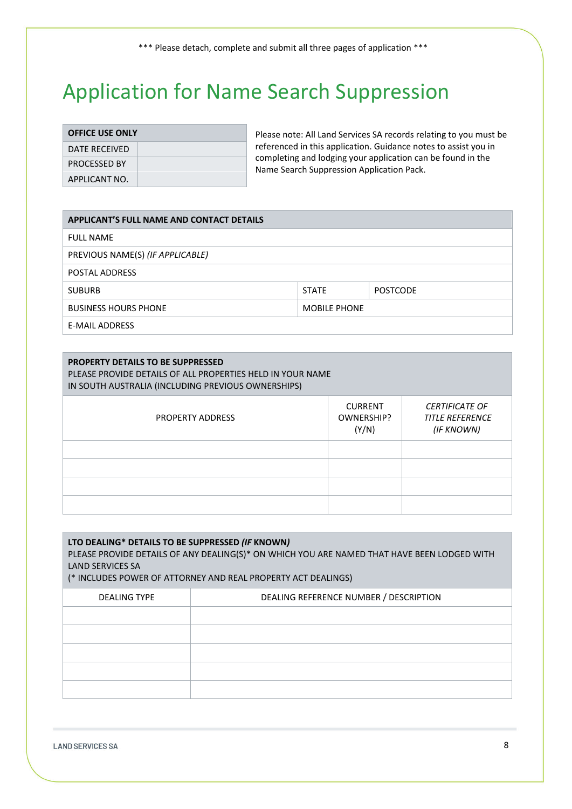\*\*\* Please detach, complete and submit all three pages of application \*\*\*

# Application for Name Search Suppression

| <b>OFFICE USE ONLY</b> | Please note: All Land Services SA records relating to you must be                                        |
|------------------------|----------------------------------------------------------------------------------------------------------|
| DATE RECEIVED          | referenced in this application. Guidance notes to assist you in                                          |
| PROCESSED BY           | completing and lodging your application can be found in the<br>Name Search Suppression Application Pack. |
| APPLICANT NO.          |                                                                                                          |

| <b>APPLICANT'S FULL NAME AND CONTACT DETAILS</b> |                     |                 |
|--------------------------------------------------|---------------------|-----------------|
| <b>FULL NAME</b>                                 |                     |                 |
| PREVIOUS NAME(S) (IF APPLICABLE)                 |                     |                 |
| <b>POSTAL ADDRESS</b>                            |                     |                 |
| <b>SUBURB</b>                                    | <b>STATE</b>        | <b>POSTCODE</b> |
| <b>BUSINESS HOURS PHONE</b>                      | <b>MOBILE PHONE</b> |                 |
| <b>E-MAIL ADDRESS</b>                            |                     |                 |

| <b>PROPERTY DETAILS TO BE SUPPRESSED</b><br>PLEASE PROVIDE DETAILS OF ALL PROPERTIES HELD IN YOUR NAME<br>IN SOUTH AUSTRALIA (INCLUDING PREVIOUS OWNERSHIPS) |                                       |                                                               |
|--------------------------------------------------------------------------------------------------------------------------------------------------------------|---------------------------------------|---------------------------------------------------------------|
| <b>PROPERTY ADDRESS</b>                                                                                                                                      | <b>CURRENT</b><br>OWNERSHIP?<br>(Y/N) | <b>CERTIFICATE OF</b><br><b>TITLE REFERENCE</b><br>(IF KNOWN) |
|                                                                                                                                                              |                                       |                                                               |
|                                                                                                                                                              |                                       |                                                               |
|                                                                                                                                                              |                                       |                                                               |

| LTO DEALING* DETAILS TO BE SUPPRESSED (IF KNOWN)                                                                                                                                                                                                                                     |
|--------------------------------------------------------------------------------------------------------------------------------------------------------------------------------------------------------------------------------------------------------------------------------------|
| PLEASE PROVIDE DETAILS OF ANY DEALING(S)* ON WHICH YOU ARE NAMED THAT HAVE BEEN LODGED WITH                                                                                                                                                                                          |
| LAND SERVICES SA                                                                                                                                                                                                                                                                     |
| $\{a_1, a_2, a_3, a_4, a_5, a_6, a_7, a_8, a_9, a_1, a_2, a_3, a_4, a_5, a_6, a_7, a_8, a_9, a_1, a_2, a_3, a_4, a_5, a_6, a_7, a_8, a_9, a_9, a_1, a_2, a_3, a_4, a_5, a_6, a_7, a_8, a_9, a_1, a_2, a_3, a_4, a_5, a_6, a_7, a_8, a_9, a_1, a_2, a_3, a_4, a_5, a_6, a_7, a_8, a_$ |

(\* INCLUDES POWER OF ATTORNEY AND REAL PROPERTY ACT DEALINGS)

| <b>DEALING TYPE</b> | DEALING REFERENCE NUMBER / DESCRIPTION |
|---------------------|----------------------------------------|
|                     |                                        |
|                     |                                        |
|                     |                                        |
|                     |                                        |
|                     |                                        |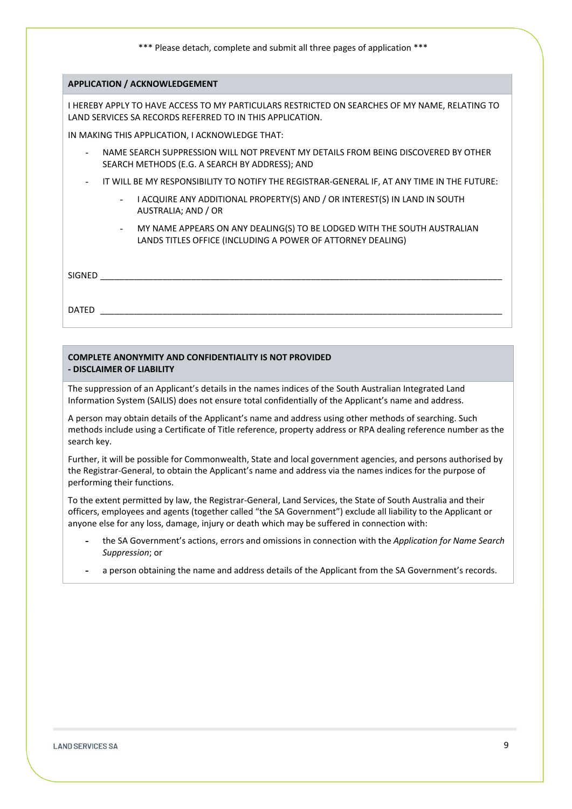#### \*\*\* Please detach, complete and submit all three pages of application \*\*\*

#### **APPLICATION / ACKNOWLEDGEMENT**

I HEREBY APPLY TO HAVE ACCESS TO MY PARTICULARS RESTRICTED ON SEARCHES OF MY NAME, RELATING TO LAND SERVICES SA RECORDS REFERRED TO IN THIS APPLICATION.

IN MAKING THIS APPLICATION, I ACKNOWLEDGE THAT:

- NAME SEARCH SUPPRESSION WILL NOT PREVENT MY DETAILS FROM BEING DISCOVERED BY OTHER SEARCH METHODS (E.G. A SEARCH BY ADDRESS); AND
- IT WILL BE MY RESPONSIBILITY TO NOTIFY THE REGISTRAR-GENERAL IF, AT ANY TIME IN THE FUTURE:
	- I ACQUIRE ANY ADDITIONAL PROPERTY(S) AND / OR INTEREST(S) IN LAND IN SOUTH AUSTRALIA; AND / OR
	- MY NAME APPEARS ON ANY DEALING(S) TO BE LODGED WITH THE SOUTH AUSTRALIAN LANDS TITLES OFFICE (INCLUDING A POWER OF ATTORNEY DEALING)

 $S$ igned  $\overline{S}$ DATED **was also also also also** 

#### **COMPLETE ANONYMITY AND CONFIDENTIALITY IS NOT PROVIDED ‐ DISCLAIMER OF LIABILITY**

The suppression of an Applicant's details in the names indices of the South Australian Integrated Land Information System (SAILIS) does not ensure total confidentially of the Applicant's name and address.

A person may obtain details of the Applicant's name and address using other methods of searching. Such methods include using a Certificate of Title reference, property address or RPA dealing reference number as the search key.

Further, it will be possible for Commonwealth, State and local government agencies, and persons authorised by the Registrar-General, to obtain the Applicant's name and address via the names indices for the purpose of performing their functions.

To the extent permitted by law, the Registrar-General, Land Services, the State of South Australia and their officers, employees and agents (together called "the SA Government") exclude all liability to the Applicant or anyone else for any loss, damage, injury or death which may be suffered in connection with:

- **-** the SA Government's actions, errors and omissions in connection with the *Application for Name Search Suppression*; or
- **-** a person obtaining the name and address details of the Applicant from the SA Government's records.